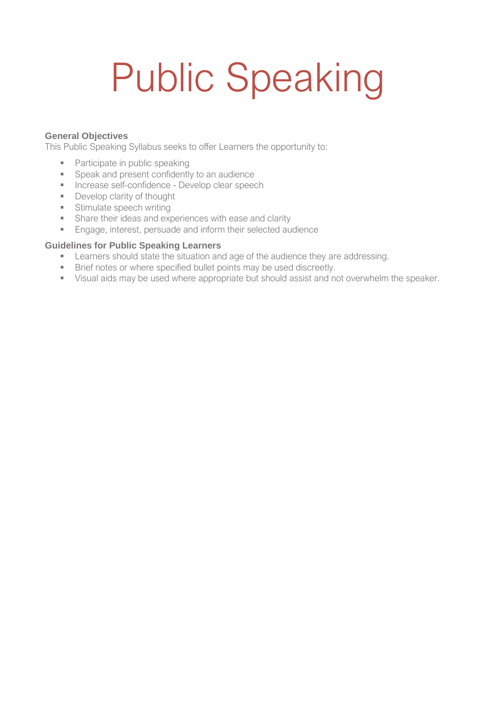# Public Speaking

#### **General Objectives**

This Public Speaking Syllabus seeks to offer Learners the opportunity to:

- Participate in public speaking
- Speak and present confidently to an audience
- **EXEC** Increase self-confidence Develop clear speech
- Develop clarity of thought
- **■** Stimulate speech writing
- **•** Share their ideas and experiences with ease and clarity
- Engage, interest, persuade and inform their selected audience

#### **Guidelines for Public Speaking Learners**

- **EXECTE:** Learners should state the situation and age of the audience they are addressing.
- **EXECT:** Brief notes or where specified bullet points may be used discreetly.
- Visual aids may be used where appropriate but should assist and not overwhelm the speaker.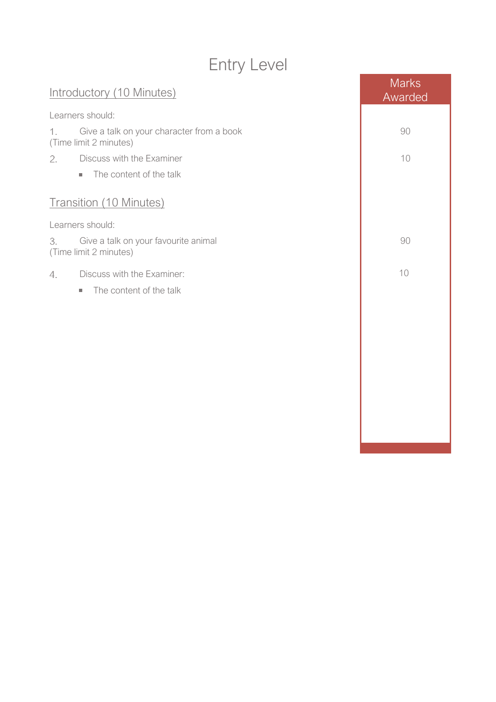## Entry Level

| Introductory (10 Minutes)                                                 | <b>Marks</b><br>Awarded |
|---------------------------------------------------------------------------|-------------------------|
| Learners should:                                                          |                         |
| Give a talk on your character from a book<br>1.<br>(Time limit 2 minutes) | 90                      |
| 2.<br>Discuss with the Examiner                                           | 10                      |
| The content of the talk<br>$\mathcal{L}_{\mathcal{A}}$                    |                         |
| <b>Transition (10 Minutes)</b>                                            |                         |
| Learners should:                                                          |                         |
| Give a talk on your favourite animal<br>3.<br>(Time limit 2 minutes)      | 90                      |
| Discuss with the Examiner:<br>4.                                          | 10                      |
| The content of the talk<br>g,                                             |                         |
|                                                                           |                         |
|                                                                           |                         |
|                                                                           |                         |
|                                                                           |                         |
|                                                                           |                         |
|                                                                           |                         |
|                                                                           |                         |
|                                                                           |                         |
|                                                                           |                         |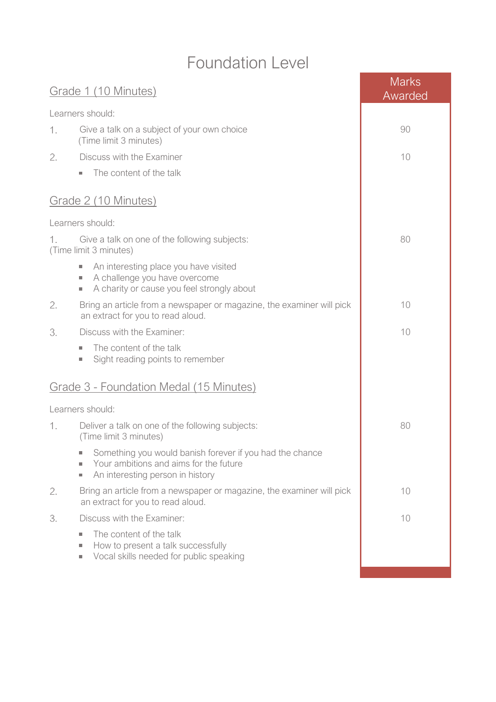#### Foundation Level

|                                                                               | Grade 1 (10 Minutes)                                                                                                                                                                     | <b>Marks</b><br>Awarded |
|-------------------------------------------------------------------------------|------------------------------------------------------------------------------------------------------------------------------------------------------------------------------------------|-------------------------|
|                                                                               | Learners should:                                                                                                                                                                         |                         |
| 1.                                                                            | Give a talk on a subject of your own choice<br>(Time limit 3 minutes)                                                                                                                    | 90                      |
| 2.                                                                            | Discuss with the Examiner                                                                                                                                                                | 10                      |
|                                                                               | The content of the talk<br>×.                                                                                                                                                            |                         |
|                                                                               | Grade 2 (10 Minutes)                                                                                                                                                                     |                         |
|                                                                               | Learners should:                                                                                                                                                                         |                         |
| Give a talk on one of the following subjects:<br>1.<br>(Time limit 3 minutes) |                                                                                                                                                                                          | 80                      |
|                                                                               | An interesting place you have visited<br>×.<br>A challenge you have overcome<br>$\mathcal{L}_{\mathcal{A}}$<br>A charity or cause you feel strongly about<br>$\mathcal{L}_{\mathcal{A}}$ |                         |
| 2.                                                                            | Bring an article from a newspaper or magazine, the examiner will pick<br>an extract for you to read aloud.                                                                               | 10                      |
| 3.                                                                            | Discuss with the Examiner:                                                                                                                                                               | 10                      |
|                                                                               | The content of the talk<br>$\sim$<br>Sight reading points to remember<br>×.                                                                                                              |                         |
|                                                                               | Grade 3 - Foundation Medal (15 Minutes)                                                                                                                                                  |                         |
|                                                                               | Learners should:                                                                                                                                                                         |                         |
| 1.                                                                            | Deliver a talk on one of the following subjects:<br>(Time limit 3 minutes)                                                                                                               | 80                      |
|                                                                               | Something you would banish forever if you had the chance<br>Your ambitions and aims for the future<br>An interesting person in history<br>$\sim$                                         |                         |
| 2.                                                                            | Bring an article from a newspaper or magazine, the examiner will pick<br>an extract for you to read aloud.                                                                               | 10                      |
| 3.                                                                            | Discuss with the Examiner:                                                                                                                                                               | 10                      |
|                                                                               | The content of the talk<br>×.<br>How to present a talk successfully<br>×.<br>Vocal skills needed for public speaking<br>$\mathcal{L}_{\mathcal{A}}$                                      |                         |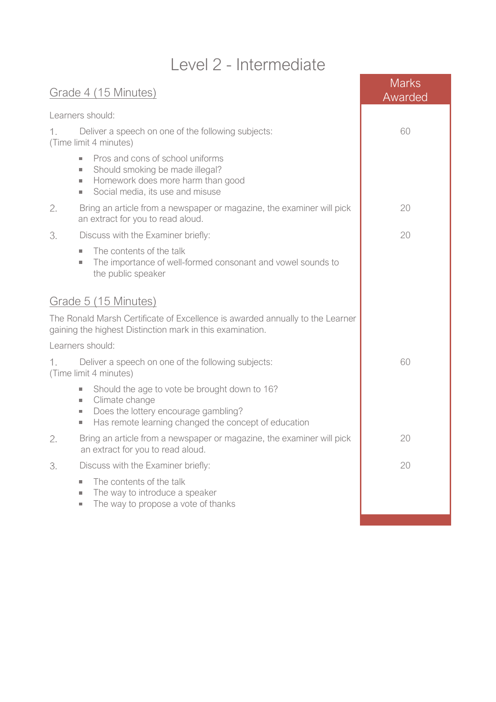### Level 2 - Intermediate

| Grade 4 (15 Minutes)                                                                                                                                                                                            | <b>Marks</b><br>Awarded |
|-----------------------------------------------------------------------------------------------------------------------------------------------------------------------------------------------------------------|-------------------------|
| Learners should:                                                                                                                                                                                                |                         |
| 1.<br>Deliver a speech on one of the following subjects:<br>(Time limit 4 minutes)                                                                                                                              | 60                      |
| Pros and cons of school uniforms<br>×.<br>Should smoking be made illegal?<br>×.<br>Homework does more harm than good<br>ш<br>Social media, its use and misuse<br>$\mathcal{L}_{\mathcal{A}}$                    |                         |
| 2.<br>Bring an article from a newspaper or magazine, the examiner will pick<br>an extract for you to read aloud.                                                                                                | 20                      |
| 3.<br>Discuss with the Examiner briefly:                                                                                                                                                                        | 20                      |
| The contents of the talk<br>×.<br>The importance of well-formed consonant and vowel sounds to<br>ш<br>the public speaker                                                                                        |                         |
| Grade 5 (15 Minutes)                                                                                                                                                                                            |                         |
| The Ronald Marsh Certificate of Excellence is awarded annually to the Learner<br>gaining the highest Distinction mark in this examination.                                                                      |                         |
| Learners should:                                                                                                                                                                                                |                         |
| Deliver a speech on one of the following subjects:<br>1.<br>(Time limit 4 minutes)                                                                                                                              | 60                      |
| Should the age to vote be brought down to 16?<br>×.<br>Climate change<br>×.<br>Does the lottery encourage gambling?<br>ш<br>Has remote learning changed the concept of education<br>$\mathcal{L}_{\mathcal{A}}$ |                         |
| 2.<br>Bring an article from a newspaper or magazine, the examiner will pick<br>an extract for you to read aloud.                                                                                                | 20                      |
| 3.<br>Discuss with the Examiner briefly:                                                                                                                                                                        | 20                      |
| The contents of the talk<br>×.<br>The way to introduce a speaker<br>$\mathcal{L}_{\mathcal{A}}$<br>The way to propose a vote of thanks<br>$\mathcal{L}_{\mathcal{A}}$                                           |                         |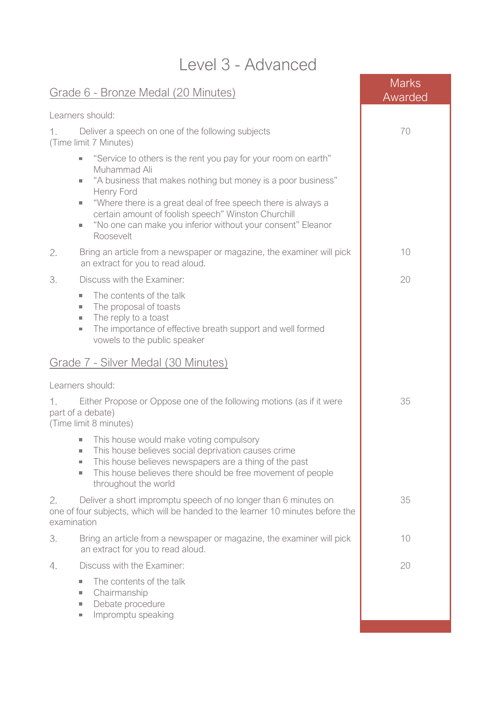| Level 3 - Advanced                                                                                                                                                                                                                                                                                                                                                                                               |                         |  |  |  |
|------------------------------------------------------------------------------------------------------------------------------------------------------------------------------------------------------------------------------------------------------------------------------------------------------------------------------------------------------------------------------------------------------------------|-------------------------|--|--|--|
| <u> Grade 6 - Bronze Medal (20 Minutes)</u>                                                                                                                                                                                                                                                                                                                                                                      | <b>Marks</b><br>Awarded |  |  |  |
| Learners should:                                                                                                                                                                                                                                                                                                                                                                                                 |                         |  |  |  |
| Deliver a speech on one of the following subjects<br>1.<br>(Time limit 7 Minutes)                                                                                                                                                                                                                                                                                                                                | 70                      |  |  |  |
| "Service to others is the rent you pay for your room on earth"<br>٠<br>Muhammad Ali<br>"A business that makes nothing but money is a poor business"<br>m.<br>Henry Ford<br>"Where there is a great deal of free speech there is always a<br>$\mathcal{L}_{\mathcal{A}}$<br>certain amount of foolish speech" Winston Churchill<br>"No one can make you inferior without your consent" Eleanor<br>×.<br>Roosevelt |                         |  |  |  |
| 2.<br>Bring an article from a newspaper or magazine, the examiner will pick<br>an extract for you to read aloud.                                                                                                                                                                                                                                                                                                 | 10                      |  |  |  |
| 3.<br>Discuss with the Examiner:<br>The contents of the talk<br>×.<br>The proposal of toasts<br>m.<br>The reply to a toast<br>×.<br>The importance of effective breath support and well formed<br>$\mathcal{L}_{\mathcal{A}}$<br>vowels to the public speaker                                                                                                                                                    | 20                      |  |  |  |
| Grade 7 - Silver Medal (30 Minutes)                                                                                                                                                                                                                                                                                                                                                                              |                         |  |  |  |
| Learners should:                                                                                                                                                                                                                                                                                                                                                                                                 |                         |  |  |  |
| Either Propose or Oppose one of the following motions (as if it were<br>part of a debate)<br>(Time limit 8 minutes)                                                                                                                                                                                                                                                                                              | 35                      |  |  |  |
| This house would make voting compulsory<br>$\mathcal{L}_{\mathcal{A}}$<br>This house believes social deprivation causes crime<br>×.<br>This house believes newspapers are a thing of the past<br>$\mathcal{L}_{\mathcal{A}}$<br>This house believes there should be free movement of people<br>×.<br>throughout the world                                                                                        |                         |  |  |  |
| Deliver a short impromptu speech of no longer than 6 minutes on<br>2.<br>one of four subjects, which will be handed to the learner 10 minutes before the<br>examination                                                                                                                                                                                                                                          | 35                      |  |  |  |
| 3.<br>Bring an article from a newspaper or magazine, the examiner will pick<br>an extract for you to read aloud.                                                                                                                                                                                                                                                                                                 | 10                      |  |  |  |
| Discuss with the Examiner:<br>4.                                                                                                                                                                                                                                                                                                                                                                                 | 20                      |  |  |  |
| The contents of the talk<br>m.<br>Chairmanship<br>$\mathcal{L}_{\mathcal{A}}$<br>Debate procedure<br>×.<br>Impromptu speaking<br>u.                                                                                                                                                                                                                                                                              |                         |  |  |  |